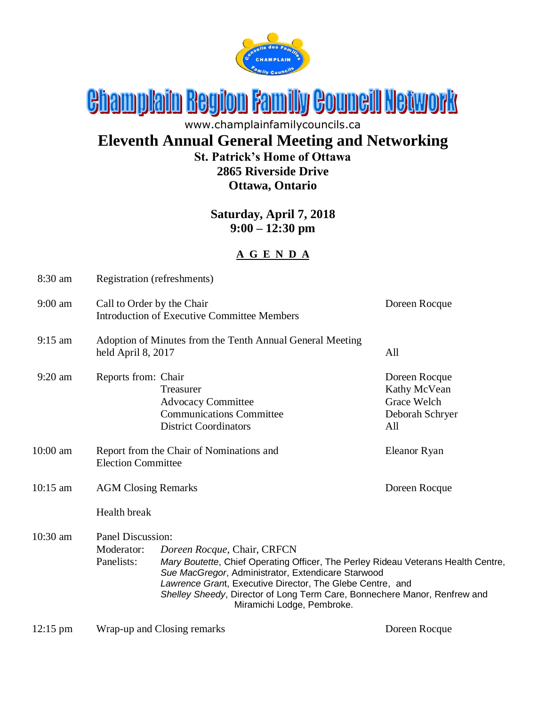

# Champlain Region Family Council Network

www.champlainfamilycouncils.ca

### **Eleventh Annual General Meeting and Networking St. Patrick's Home of Ottawa**

# **2865 Riverside Drive Ottawa, Ontario**

#### **Saturday, April 7, 2018 9:00 – 12:30 pm**

#### **A G E N D A**

| 8:30 am            | Registration (refreshments)                                                                |                                                                                                                                                                                                                                                                                                                                                |                                                                        |  |
|--------------------|--------------------------------------------------------------------------------------------|------------------------------------------------------------------------------------------------------------------------------------------------------------------------------------------------------------------------------------------------------------------------------------------------------------------------------------------------|------------------------------------------------------------------------|--|
| $9:00$ am          | Call to Order by the Chair<br>Doreen Rocque<br>Introduction of Executive Committee Members |                                                                                                                                                                                                                                                                                                                                                |                                                                        |  |
| $9:15$ am          | Adoption of Minutes from the Tenth Annual General Meeting<br>All<br>held April 8, 2017     |                                                                                                                                                                                                                                                                                                                                                |                                                                        |  |
| $9:20$ am          | Reports from: Chair                                                                        | Treasurer<br><b>Advocacy Committee</b><br><b>Communications Committee</b><br><b>District Coordinators</b>                                                                                                                                                                                                                                      | Doreen Rocque<br>Kathy McVean<br>Grace Welch<br>Deborah Schryer<br>All |  |
| $10:00$ am         | Report from the Chair of Nominations and<br><b>Election Committee</b>                      |                                                                                                                                                                                                                                                                                                                                                | Eleanor Ryan                                                           |  |
| 10:15 am           | <b>AGM Closing Remarks</b>                                                                 |                                                                                                                                                                                                                                                                                                                                                | Doreen Rocque                                                          |  |
|                    | Health break                                                                               |                                                                                                                                                                                                                                                                                                                                                |                                                                        |  |
| 10:30 am           | Panel Discussion:<br>Moderator:<br>Panelists:                                              | Doreen Rocque, Chair, CRFCN<br>Mary Boutette, Chief Operating Officer, The Perley Rideau Veterans Health Centre,<br>Sue MacGregor, Administrator, Extendicare Starwood<br>Lawrence Grant, Executive Director, The Glebe Centre, and<br>Shelley Sheedy, Director of Long Term Care, Bonnechere Manor, Renfrew and<br>Miramichi Lodge, Pembroke. |                                                                        |  |
| $12:15 \text{ pm}$ | Wrap-up and Closing remarks                                                                |                                                                                                                                                                                                                                                                                                                                                | Doreen Rocque                                                          |  |